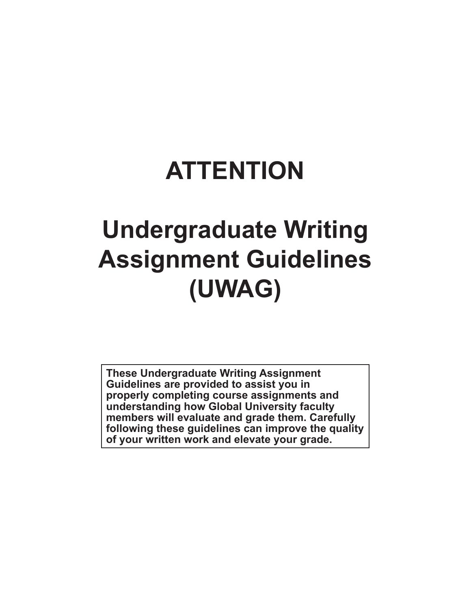# **ATTENTION**

# **Undergraduate Writing Assignment Guidelines (UWAG)**

**These Undergraduate Writing Assignment Guidelines are provided to assist you in properly completing course assignments and understanding how Global University faculty members will evaluate and grade them. Carefully following these guidelines can improve the quality of your written work and elevate your grade.**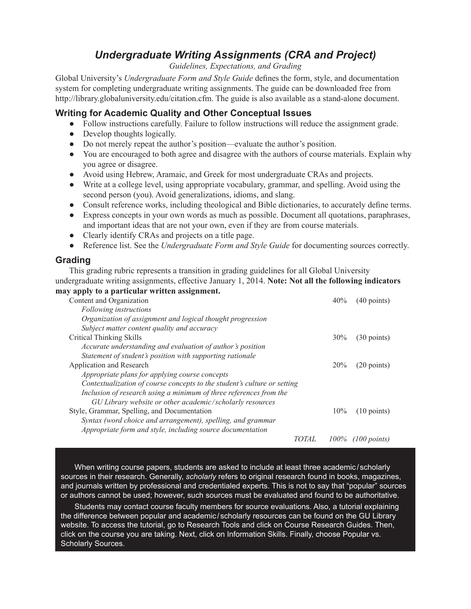# *Undergraduate Writing Assignments (CRA and Project)*

*Guidelines, Expectations, and Grading*

Global University's *Undergraduate Form and Style Guide* defines the form, style, and documentation system for completing undergraduate writing assignments. The guide can be downloaded free from http://library.globaluniversity.edu/citation.cfm. The guide is also available as a stand-alone document.

### **Writing for Academic Quality and Other Conceptual Issues**

- Follow instructions carefully. Failure to follow instructions will reduce the assignment grade.
- Develop thoughts logically.
- Do not merely repeat the author's position—evaluate the author's position.
- You are encouraged to both agree and disagree with the authors of course materials. Explain why you agree or disagree.
- Avoid using Hebrew, Aramaic, and Greek for most undergraduate CRAs and projects.
- Write at a college level, using appropriate vocabulary, grammar, and spelling. Avoid using the second person (you). Avoid generalizations, idioms, and slang.
- Consult reference works, including theological and Bible dictionaries, to accurately define terms.
- Express concepts in your own words as much as possible. Document all quotations, paraphrases, and important ideas that are not your own, even if they are from course materials.
- Clearly identify CRAs and projects on a title page.
- Reference list. See the *Undergraduate Form and Style Guide* for documenting sources correctly.

### **Grading**

This grading rubric represents a transition in grading guidelines for all Global University undergraduate writing assignments, effective January 1, 2014. **Note: Not all the following indicators may apply to a particular written assignment.**

|                                                                          |       | 40% |                       |
|--------------------------------------------------------------------------|-------|-----|-----------------------|
| Content and Organization                                                 |       |     | $(40$ points)         |
| Following instructions                                                   |       |     |                       |
| Organization of assignment and logical thought progression               |       |     |                       |
| Subject matter content quality and accuracy                              |       |     |                       |
| Critical Thinking Skills                                                 |       | 30% | $(30 \text{ points})$ |
| Accurate understanding and evaluation of author's position               |       |     |                       |
| Statement of student's position with supporting rationale                |       |     |                       |
| Application and Research                                                 |       | 20% | $(20 \text{ points})$ |
| Appropriate plans for applying course concepts                           |       |     |                       |
| Contextualization of course concepts to the student's culture or setting |       |     |                       |
| Inclusion of research using a minimum of three references from the       |       |     |                       |
| GU Library website or other academic/scholarly resources                 |       |     |                       |
| Style, Grammar, Spelling, and Documentation                              |       | 10% | $(10 \text{ points})$ |
| Syntax (word choice and arrangement), spelling, and grammar              |       |     |                       |
| Appropriate form and style, including source documentation               |       |     |                       |
|                                                                          | TOTAL |     | $100\%$ (100 points)  |

When writing course papers, students are asked to include at least three academic /scholarly sources in their research. Generally, *scholarly* refers to original research found in books, magazines, and journals written by professional and credentialed experts. This is not to say that "popular" sources or authors cannot be used; however, such sources must be evaluated and found to be authoritative.

Students may contact course faculty members for source evaluations. Also, a tutorial explaining the difference between popular and academic / scholarly resources can be found on the GU Library website. To access the tutorial, go to Research Tools and click on Course Research Guides. Then, click on the course you are taking. Next, click on Information Skills. Finally, choose Popular vs. Scholarly Sources.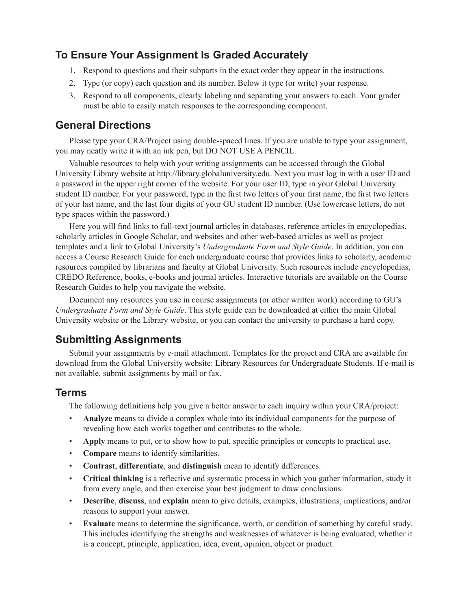# **To Ensure Your Assignment Is Graded Accurately**

- 1. Respond to questions and their subparts in the exact order they appear in the instructions.
- 2. Type (or copy) each question and its number. Below it type (or write) your response.
- 3. Respond to all components, clearly labeling and separating your answers to each. Your grader must be able to easily match responses to the corresponding component.

## **General Directions**

Please type your CRA/Project using double-spaced lines. If you are unable to type your assignment, you may neatly write it with an ink pen, but DO NOT USE A PENCIL.

Valuable resources to help with your writing assignments can be accessed through the Global University Library website at http://library.globaluniversity.edu. Next you must log in with a user ID and a password in the upper right corner of the website. For your user ID, type in your Global University student ID number. For your password, type in the first two letters of your first name, the first two letters of your last name, and the last four digits of your GU student ID number. (Use lowercase letters, do not type spaces within the password.)

Here you will find links to full-text journal articles in databases, reference articles in encyclopedias, scholarly articles in Google Scholar, and websites and other web-based articles as well as project templates and a link to Global University's *Undergraduate Form and Style Guide*. In addition, you can access a Course Research Guide for each undergraduate course that provides links to scholarly, academic resources compiled by librarians and faculty at Global University. Such resources include encyclopedias, CREDO Reference, books, e-books and journal articles. Interactive tutorials are available on the Course Research Guides to help you navigate the website.

Document any resources you use in course assignments (or other written work) according to GU's *Undergraduate Form and Style Guide*. This style guide can be downloaded at either the main Global University website or the Library website, or you can contact the university to purchase a hard copy.

# **Submitting Assignments**

Submit your assignments by e-mail attachment. Templates for the project and CRA are available for download from the Global University website: Library Resources for Undergraduate Students. If e-mail is not available, submit assignments by mail or fax.

# **Terms**

The following definitions help you give a better answer to each inquiry within your CRA/project:

- **Analyze** means to divide a complex whole into its individual components for the purpose of revealing how each works together and contributes to the whole.
- **Apply** means to put, or to show how to put, specific principles or concepts to practical use.
- **Compare** means to identify similarities.
- **Contrast**, **differentiate**, and **distinguish** mean to identify differences.
- **Critical thinking** is a reflective and systematic process in which you gather information, study it from every angle, and then exercise your best judgment to draw conclusions.
- **Describe**, **discuss**, and **explain** mean to give details, examples, illustrations, implications, and/or reasons to support your answer.
- **Evaluate** means to determine the significance, worth, or condition of something by careful study. This includes identifying the strengths and weaknesses of whatever is being evaluated, whether it is a concept, principle, application, idea, event, opinion, object or product.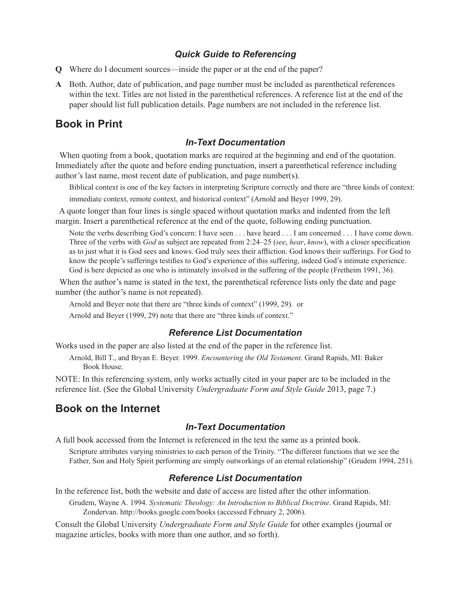### *Quick Guide to Referencing*

- **Q** Where do I document sources—inside the paper or at the end of the paper?
- **A** Both. Author, date of publication, and page number must be included as parenthetical references within the text. Titles are not listed in the parenthetical references. A reference list at the end of the paper should list full publication details. Page numbers are not included in the reference list.

# **Book in Print**

#### *In-Text Documentation*

When quoting from a book, quotation marks are required at the beginning and end of the quotation. Immediately after the quote and before ending punctuation, insert a parenthetical reference including author's last name, most recent date of publication, and page number(s).

Biblical context is one of the key factors in interpreting Scripture correctly and there are "three kinds of context: immediate context, remote context, and historical context" (Arnold and Beyer 1999, 29).

 A quote longer than four lines is single spaced without quotation marks and indented from the left margin. Insert a parenthetical reference at the end of the quote, following ending punctuation.

Note the verbs describing God's concern: I have seen . . . have heard . . . I am concerned . . . I have come down. Three of the verbs with *God* as subject are repeated from 2:24–25 (*see*, *hear*, *know*), with a closer specification as to just what it is God sees and knows. God truly sees their affliction. God knows their sufferings. For God to know the people's sufferings testifies to God's experience of this suffering, indeed God's intimate experience. God is here depicted as one who is intimately involved in the suffering of the people (Fretheim 1991, 36).

When the author's name is stated in the text, the parenthetical reference lists only the date and page number (the author's name is not repeated).

Arnold and Beyer note that there are "three kinds of context" (1999, 29). or

Arnold and Beyer (1999, 29) note that there are "three kinds of context."

#### *Reference List Documentation*

Works used in the paper are also listed at the end of the paper in the reference list.

Arnold, Bill T., and Bryan E. Beyer. 1999. *Encountering the Old Testament*. Grand Rapids, MI: Baker Book House.

NOTE: In this referencing system, only works actually cited in your paper are to be included in the reference list. (See the Global University *Undergraduate Form and Style Guide* 2013, page 7.)

## **Book on the Internet**

#### *In-Text Documentation*

A full book accessed from the Internet is referenced in the text the same as a printed book.

Scripture attributes varying ministries to each person of the Trinity. "The different functions that we see the Father, Son and Holy Spirit performing are simply outworkings of an eternal relationship" (Grudem 1994, 251).

#### *Reference List Documentation*

In the reference list, both the website and date of access are listed after the other information.

Grudem, Wayne A. 1994. *Systematic Theology: An Introduction to Biblical Doctrine*. Grand Rapids, MI: Zondervan. http://books.google.com/books (accessed February 2, 2006).

Consult the Global University *Undergraduate Form and Style Guide* for other examples (journal or magazine articles, books with more than one author, and so forth).